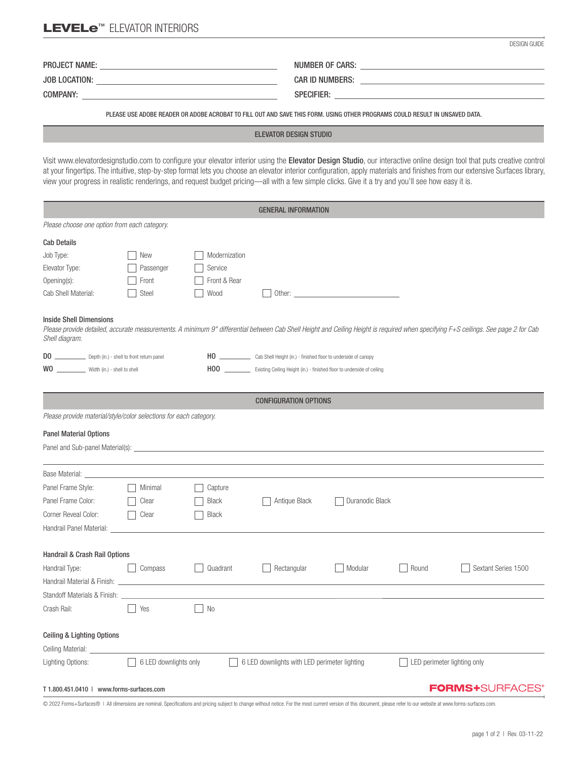# LEVELe<sup>™</sup> ELEVATOR INTERIORS

| <b>PROJECT NAME:</b> | NUMBER OF CARS:        |
|----------------------|------------------------|
| <b>JOB LOCATION:</b> | <b>CAR ID NUMBERS:</b> |
| <b>COMPANY:</b>      | <b>SPECIFIER:</b>      |

PLEASE USE ADOBE READER OR ADOBE ACROBAT TO FILL OUT AND SAVE THIS FORM. USING OTHER PROGRAMS COULD RESULT IN UNSAVED DATA.

### ELEVATOR DESIGN STUDIO

Visit www.elevatordesignstudio.com to configure your elevator interior using the Elevator Design Studio, our interactive online design tool that puts creative control at your fingertips. The intuitive, step-by-step format lets you choose an elevator interior configuration, apply materials and finishes from our extensive Surfaces library, view your progress in realistic renderings, and request budget pricing—all with a few simple clicks. Give it a try and you'll see how easy it is.

| <b>GENERAL INFORMATION</b>                                                                                                                                                                                                             |                       |               |                                                                            |                                                                                   |                             |                     |  |  |
|----------------------------------------------------------------------------------------------------------------------------------------------------------------------------------------------------------------------------------------|-----------------------|---------------|----------------------------------------------------------------------------|-----------------------------------------------------------------------------------|-----------------------------|---------------------|--|--|
| Please choose one option from each category.                                                                                                                                                                                           |                       |               |                                                                            |                                                                                   |                             |                     |  |  |
| <b>Cab Details</b>                                                                                                                                                                                                                     |                       |               |                                                                            |                                                                                   |                             |                     |  |  |
| Job Type:                                                                                                                                                                                                                              | New                   | Modernization |                                                                            |                                                                                   |                             |                     |  |  |
| Elevator Type:                                                                                                                                                                                                                         | Passenger             | Service       |                                                                            |                                                                                   |                             |                     |  |  |
| Opening(s):                                                                                                                                                                                                                            | Front                 | Front & Rear  |                                                                            |                                                                                   |                             |                     |  |  |
| Cab Shell Material:                                                                                                                                                                                                                    | Steel                 | Wood          |                                                                            | Other: <u>www.community.community.community.community.community.community.com</u> |                             |                     |  |  |
| <b>Inside Shell Dimensions</b><br>Please provide detailed, accurate measurements. A minimum 9" differential between Cab Shell Height and Ceiling Height is required when specifying F+S ceilings. See page 2 for Cab<br>Shell diagram. |                       |               |                                                                            |                                                                                   |                             |                     |  |  |
| DO ________________ Depth (in.) - shell to front return panel                                                                                                                                                                          |                       |               |                                                                            |                                                                                   |                             |                     |  |  |
| WO Width (in.) - shell to shell                                                                                                                                                                                                        |                       |               | HOO Existing Ceiling Height (in.) - finished floor to underside of ceiling |                                                                                   |                             |                     |  |  |
|                                                                                                                                                                                                                                        |                       |               |                                                                            |                                                                                   |                             |                     |  |  |
| <b>CONFIGURATION OPTIONS</b>                                                                                                                                                                                                           |                       |               |                                                                            |                                                                                   |                             |                     |  |  |
| Please provide material/style/color selections for each category.                                                                                                                                                                      |                       |               |                                                                            |                                                                                   |                             |                     |  |  |
| <b>Panel Material Options</b>                                                                                                                                                                                                          |                       |               |                                                                            |                                                                                   |                             |                     |  |  |
| Panel and Sub-panel Material(s): Notified that the state of the state of the state of the state of the state of the state of the state of the state of the state of the state of the state of the state of the state of the st         |                       |               |                                                                            |                                                                                   |                             |                     |  |  |
|                                                                                                                                                                                                                                        |                       |               |                                                                            |                                                                                   |                             |                     |  |  |
| Base Material:                                                                                                                                                                                                                         |                       |               |                                                                            |                                                                                   |                             |                     |  |  |
| Panel Frame Style:                                                                                                                                                                                                                     | Minimal               | Capture       |                                                                            |                                                                                   |                             |                     |  |  |
| Panel Frame Color:                                                                                                                                                                                                                     | Clear                 | <b>Black</b>  | Antique Black                                                              | Duranodic Black                                                                   |                             |                     |  |  |
| Corner Reveal Color:                                                                                                                                                                                                                   | Clear                 | Black         |                                                                            |                                                                                   |                             |                     |  |  |
| Handrail Panel Material:                                                                                                                                                                                                               |                       |               |                                                                            |                                                                                   |                             |                     |  |  |
|                                                                                                                                                                                                                                        |                       |               |                                                                            |                                                                                   |                             |                     |  |  |
| Handrail & Crash Rail Options                                                                                                                                                                                                          |                       |               |                                                                            |                                                                                   |                             |                     |  |  |
| Handrail Type:                                                                                                                                                                                                                         | Compass               | Quadrant      | Rectangular                                                                | Modular                                                                           | Round                       | Sextant Series 1500 |  |  |
| Handrail Material & Finish: _____                                                                                                                                                                                                      |                       |               |                                                                            |                                                                                   |                             |                     |  |  |
| Standoff Materials & Finish:                                                                                                                                                                                                           |                       |               |                                                                            |                                                                                   |                             |                     |  |  |
| Crash Rail:                                                                                                                                                                                                                            | Yes                   | <b>No</b>     |                                                                            |                                                                                   |                             |                     |  |  |
|                                                                                                                                                                                                                                        |                       |               |                                                                            |                                                                                   |                             |                     |  |  |
| <b>Ceiling &amp; Lighting Options</b>                                                                                                                                                                                                  |                       |               |                                                                            |                                                                                   |                             |                     |  |  |
| Ceiling Material:                                                                                                                                                                                                                      | 6 LED downlights only |               |                                                                            |                                                                                   |                             |                     |  |  |
| Lighting Options:                                                                                                                                                                                                                      |                       |               | 6 LED downlights with LED perimeter lighting                               |                                                                                   | LED perimeter lighting only |                     |  |  |
| <b>FORMS+SURFACES</b><br>T 1.800.451.0410   www.forms-surfaces.com                                                                                                                                                                     |                       |               |                                                                            |                                                                                   |                             |                     |  |  |

© 2022 Forms+Surfaces® | All dimensions are nominal. Specifications and pricing subject to change without notice. For the most current version of this document, please refer to our website at www.forms-surfaces.com.

DESIGN GUIDE